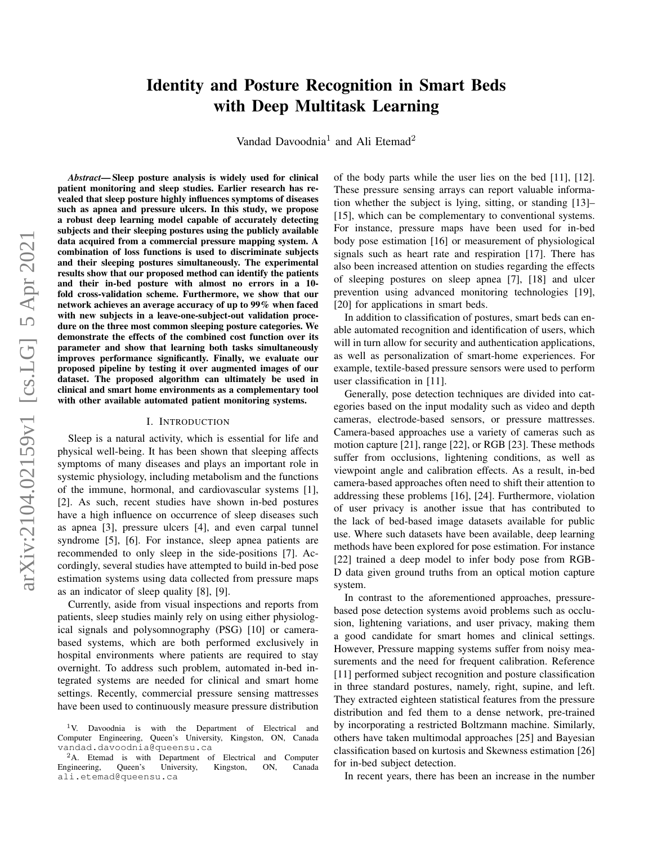# Identity and Posture Recognition in Smart Beds with Deep Multitask Learning

Vandad Davoodnia<sup>1</sup> and Ali Etemad<sup>2</sup>

*Abstract*— Sleep posture analysis is widely used for clinical patient monitoring and sleep studies. Earlier research has revealed that sleep posture highly influences symptoms of diseases such as apnea and pressure ulcers. In this study, we propose a robust deep learning model capable of accurately detecting subjects and their sleeping postures using the publicly available data acquired from a commercial pressure mapping system. A combination of loss functions is used to discriminate subjects and their sleeping postures simultaneously. The experimental results show that our proposed method can identify the patients and their in-bed posture with almost no errors in a 10 fold cross-validation scheme. Furthermore, we show that our network achieves an average accuracy of up to 99% when faced with new subjects in a leave-one-subject-out validation procedure on the three most common sleeping posture categories. We demonstrate the effects of the combined cost function over its parameter and show that learning both tasks simultaneously improves performance significantly. Finally, we evaluate our proposed pipeline by testing it over augmented images of our dataset. The proposed algorithm can ultimately be used in clinical and smart home environments as a complementary tool with other available automated patient monitoring systems.

# I. INTRODUCTION

Sleep is a natural activity, which is essential for life and physical well-being. It has been shown that sleeping affects symptoms of many diseases and plays an important role in systemic physiology, including metabolism and the functions of the immune, hormonal, and cardiovascular systems [1], [2]. As such, recent studies have shown in-bed postures have a high influence on occurrence of sleep diseases such as apnea [3], pressure ulcers [4], and even carpal tunnel syndrome [5], [6]. For instance, sleep apnea patients are recommended to only sleep in the side-positions [7]. Accordingly, several studies have attempted to build in-bed pose estimation systems using data collected from pressure maps as an indicator of sleep quality [8], [9].

Currently, aside from visual inspections and reports from patients, sleep studies mainly rely on using either physiological signals and polysomnography (PSG) [10] or camerabased systems, which are both performed exclusively in hospital environments where patients are required to stay overnight. To address such problem, automated in-bed integrated systems are needed for clinical and smart home settings. Recently, commercial pressure sensing mattresses have been used to continuously measure pressure distribution of the body parts while the user lies on the bed [11], [12]. These pressure sensing arrays can report valuable information whether the subject is lying, sitting, or standing [13]– [15], which can be complementary to conventional systems. For instance, pressure maps have been used for in-bed body pose estimation [16] or measurement of physiological signals such as heart rate and respiration [17]. There has also been increased attention on studies regarding the effects of sleeping postures on sleep apnea [7], [18] and ulcer prevention using advanced monitoring technologies [19], [20] for applications in smart beds.

In addition to classification of postures, smart beds can enable automated recognition and identification of users, which will in turn allow for security and authentication applications, as well as personalization of smart-home experiences. For example, textile-based pressure sensors were used to perform user classification in [11].

Generally, pose detection techniques are divided into categories based on the input modality such as video and depth cameras, electrode-based sensors, or pressure mattresses. Camera-based approaches use a variety of cameras such as motion capture [21], range [22], or RGB [23]. These methods suffer from occlusions, lightening conditions, as well as viewpoint angle and calibration effects. As a result, in-bed camera-based approaches often need to shift their attention to addressing these problems [16], [24]. Furthermore, violation of user privacy is another issue that has contributed to the lack of bed-based image datasets available for public use. Where such datasets have been available, deep learning methods have been explored for pose estimation. For instance [22] trained a deep model to infer body pose from RGB-D data given ground truths from an optical motion capture system.

In contrast to the aforementioned approaches, pressurebased pose detection systems avoid problems such as occlusion, lightening variations, and user privacy, making them a good candidate for smart homes and clinical settings. However, Pressure mapping systems suffer from noisy measurements and the need for frequent calibration. Reference [11] performed subject recognition and posture classification in three standard postures, namely, right, supine, and left. They extracted eighteen statistical features from the pressure distribution and fed them to a dense network, pre-trained by incorporating a restricted Boltzmann machine. Similarly, others have taken multimodal approaches [25] and Bayesian classification based on kurtosis and Skewness estimation [26] for in-bed subject detection.

In recent years, there has been an increase in the number

<sup>&</sup>lt;sup>1</sup>V. Davoodnia is with the Department of Electrical and Computer Engineering, Queen's University, Kingston, ON, Canada vandad.davoodnia@queensu.ca

<sup>&</sup>lt;sup>2</sup>A. Etemad is with Department of Electrical and Computer equineering, Queen's University, Kingston, ON, Canada Engineering, ali.etemad@queensu.ca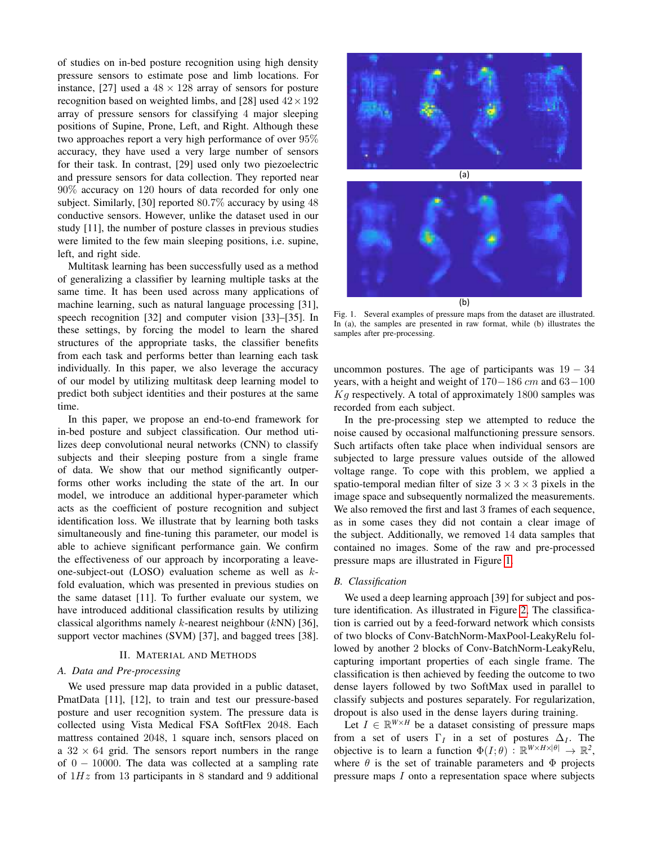of studies on in-bed posture recognition using high density pressure sensors to estimate pose and limb locations. For instance, [27] used a  $48 \times 128$  array of sensors for posture recognition based on weighted limbs, and [28] used  $42 \times 192$ array of pressure sensors for classifying 4 major sleeping positions of Supine, Prone, Left, and Right. Although these two approaches report a very high performance of over 95% accuracy, they have used a very large number of sensors for their task. In contrast, [29] used only two piezoelectric and pressure sensors for data collection. They reported near 90% accuracy on 120 hours of data recorded for only one subject. Similarly, [30] reported 80.7% accuracy by using 48 conductive sensors. However, unlike the dataset used in our study [11], the number of posture classes in previous studies were limited to the few main sleeping positions, i.e. supine, left, and right side.

Multitask learning has been successfully used as a method of generalizing a classifier by learning multiple tasks at the same time. It has been used across many applications of machine learning, such as natural language processing [31], speech recognition [32] and computer vision [33]–[35]. In these settings, by forcing the model to learn the shared structures of the appropriate tasks, the classifier benefits from each task and performs better than learning each task individually. In this paper, we also leverage the accuracy of our model by utilizing multitask deep learning model to predict both subject identities and their postures at the same time.

In this paper, we propose an end-to-end framework for in-bed posture and subject classification. Our method utilizes deep convolutional neural networks (CNN) to classify subjects and their sleeping posture from a single frame of data. We show that our method significantly outperforms other works including the state of the art. In our model, we introduce an additional hyper-parameter which acts as the coefficient of posture recognition and subject identification loss. We illustrate that by learning both tasks simultaneously and fine-tuning this parameter, our model is able to achieve significant performance gain. We confirm the effectiveness of our approach by incorporating a leaveone-subject-out (LOSO) evaluation scheme as well as kfold evaluation, which was presented in previous studies on the same dataset [11]. To further evaluate our system, we have introduced additional classification results by utilizing classical algorithms namely  $k$ -nearest neighbour ( $kNN$ ) [36], support vector machines (SVM) [37], and bagged trees [38].

# II. MATERIAL AND METHODS

#### *A. Data and Pre-processing*

We used pressure map data provided in a public dataset, PmatData [11], [12], to train and test our pressure-based posture and user recognition system. The pressure data is collected using Vista Medical FSA SoftFlex 2048. Each mattress contained 2048, 1 square inch, sensors placed on a  $32 \times 64$  grid. The sensors report numbers in the range of  $0 - 10000$ . The data was collected at a sampling rate of  $1Hz$  from 13 participants in 8 standard and 9 additional



Fig. 1. Several examples of pressure maps from the dataset are illustrated. In (a), the samples are presented in raw format, while (b) illustrates the samples after pre-processing.

<span id="page-1-0"></span>uncommon postures. The age of participants was  $19 - 34$ years, with a height and weight of  $170-186$  cm and  $63-100$  $Kg$  respectively. A total of approximately 1800 samples was recorded from each subject.

In the pre-processing step we attempted to reduce the noise caused by occasional malfunctioning pressure sensors. Such artifacts often take place when individual sensors are subjected to large pressure values outside of the allowed voltage range. To cope with this problem, we applied a spatio-temporal median filter of size  $3 \times 3 \times 3$  pixels in the image space and subsequently normalized the measurements. We also removed the first and last 3 frames of each sequence, as in some cases they did not contain a clear image of the subject. Additionally, we removed 14 data samples that contained no images. Some of the raw and pre-processed pressure maps are illustrated in Figure [1.](#page-1-0)

#### *B. Classification*

We used a deep learning approach [39] for subject and posture identification. As illustrated in Figure [2,](#page-2-0) The classification is carried out by a feed-forward network which consists of two blocks of Conv-BatchNorm-MaxPool-LeakyRelu followed by another 2 blocks of Conv-BatchNorm-LeakyRelu, capturing important properties of each single frame. The classification is then achieved by feeding the outcome to two dense layers followed by two SoftMax used in parallel to classify subjects and postures separately. For regularization, dropout is also used in the dense layers during training.

Let  $I \in \mathbb{R}^{W \times H}$  be a dataset consisting of pressure maps from a set of users  $\Gamma_I$  in a set of postures  $\Delta_I$ . The objective is to learn a function  $\Phi(I;\theta)$ :  $\mathbb{R}^{W \times H \times |\theta|} \to \mathbb{R}^2$ , where  $\theta$  is the set of trainable parameters and  $\Phi$  projects pressure maps I onto a representation space where subjects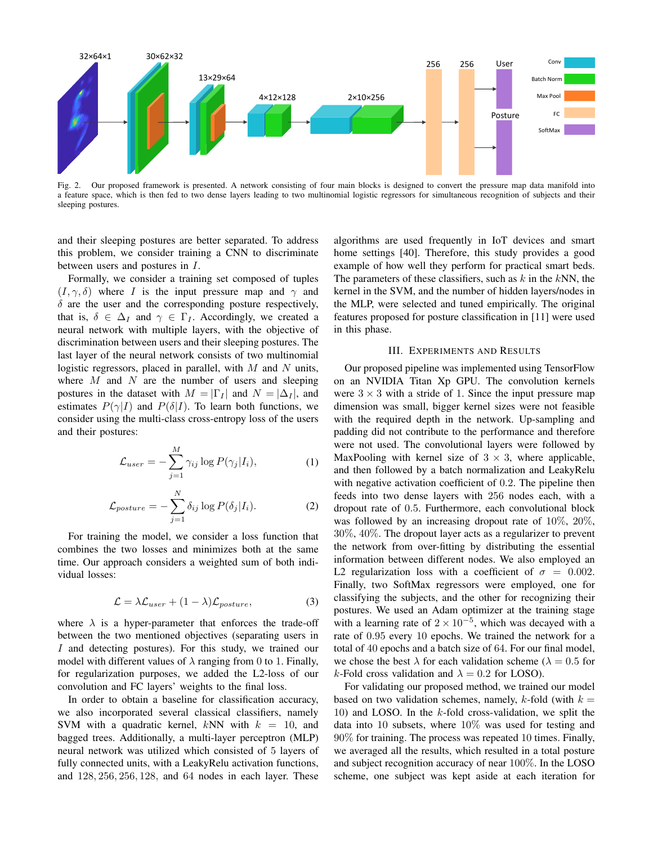

<span id="page-2-0"></span>Fig. 2. Our proposed framework is presented. A network consisting of four main blocks is designed to convert the pressure map data manifold into a feature space, which is then fed to two dense layers leading to two multinomial logistic regressors for simultaneous recognition of subjects and their sleeping postures.

and their sleeping postures are better separated. To address this problem, we consider training a CNN to discriminate between users and postures in I.

Formally, we consider a training set composed of tuples  $(I, \gamma, \delta)$  where I is the input pressure map and  $\gamma$  and  $\delta$  are the user and the corresponding posture respectively, that is,  $\delta \in \Delta_I$  and  $\gamma \in \Gamma_I$ . Accordingly, we created a neural network with multiple layers, with the objective of discrimination between users and their sleeping postures. The last layer of the neural network consists of two multinomial logistic regressors, placed in parallel, with  $M$  and  $N$  units, where  $M$  and  $N$  are the number of users and sleeping postures in the dataset with  $M = |\Gamma_I|$  and  $N = |\Delta_I|$ , and estimates  $P(\gamma|I)$  and  $P(\delta|I)$ . To learn both functions, we consider using the multi-class cross-entropy loss of the users and their postures:

$$
\mathcal{L}_{user} = -\sum_{j=1}^{M} \gamma_{ij} \log P(\gamma_j | I_i), \qquad (1)
$$

$$
\mathcal{L}_{posture} = -\sum_{j=1}^{N} \delta_{ij} \log P(\delta_j | I_i).
$$
 (2)

For training the model, we consider a loss function that combines the two losses and minimizes both at the same time. Our approach considers a weighted sum of both individual losses:

<span id="page-2-1"></span>
$$
\mathcal{L} = \lambda \mathcal{L}_{user} + (1 - \lambda) \mathcal{L}_{posture}, \tag{3}
$$

where  $\lambda$  is a hyper-parameter that enforces the trade-off between the two mentioned objectives (separating users in I and detecting postures). For this study, we trained our model with different values of  $\lambda$  ranging from 0 to 1. Finally, for regularization purposes, we added the L2-loss of our convolution and FC layers' weights to the final loss.

In order to obtain a baseline for classification accuracy, we also incorporated several classical classifiers, namely SVM with a quadratic kernel, kNN with  $k = 10$ , and bagged trees. Additionally, a multi-layer perceptron (MLP) neural network was utilized which consisted of 5 layers of fully connected units, with a LeakyRelu activation functions, and 128, 256, 256, 128, and 64 nodes in each layer. These algorithms are used frequently in IoT devices and smart home settings [40]. Therefore, this study provides a good example of how well they perform for practical smart beds. The parameters of these classifiers, such as  $k$  in the  $kNN$ , the kernel in the SVM, and the number of hidden layers/nodes in the MLP, were selected and tuned empirically. The original features proposed for posture classification in [11] were used in this phase.

# III. EXPERIMENTS AND RESULTS

Our proposed pipeline was implemented using TensorFlow on an NVIDIA Titan Xp GPU. The convolution kernels were  $3 \times 3$  with a stride of 1. Since the input pressure map dimension was small, bigger kernel sizes were not feasible with the required depth in the network. Up-sampling and padding did not contribute to the performance and therefore were not used. The convolutional layers were followed by MaxPooling with kernel size of  $3 \times 3$ , where applicable, and then followed by a batch normalization and LeakyRelu with negative activation coefficient of 0.2. The pipeline then feeds into two dense layers with 256 nodes each, with a dropout rate of 0.5. Furthermore, each convolutional block was followed by an increasing dropout rate of 10%, 20%, 30%, 40%. The dropout layer acts as a regularizer to prevent the network from over-fitting by distributing the essential information between different nodes. We also employed an L2 regularization loss with a coefficient of  $\sigma = 0.002$ . Finally, two SoftMax regressors were employed, one for classifying the subjects, and the other for recognizing their postures. We used an Adam optimizer at the training stage with a learning rate of  $2 \times 10^{-5}$ , which was decayed with a rate of 0.95 every 10 epochs. We trained the network for a total of 40 epochs and a batch size of 64. For our final model, we chose the best  $\lambda$  for each validation scheme ( $\lambda = 0.5$  for k-Fold cross validation and  $\lambda = 0.2$  for LOSO).

For validating our proposed method, we trained our model based on two validation schemes, namely, k-fold (with  $k =$ 10) and LOSO. In the  $k$ -fold cross-validation, we split the data into 10 subsets, where 10% was used for testing and 90% for training. The process was repeated 10 times. Finally, we averaged all the results, which resulted in a total posture and subject recognition accuracy of near 100%. In the LOSO scheme, one subject was kept aside at each iteration for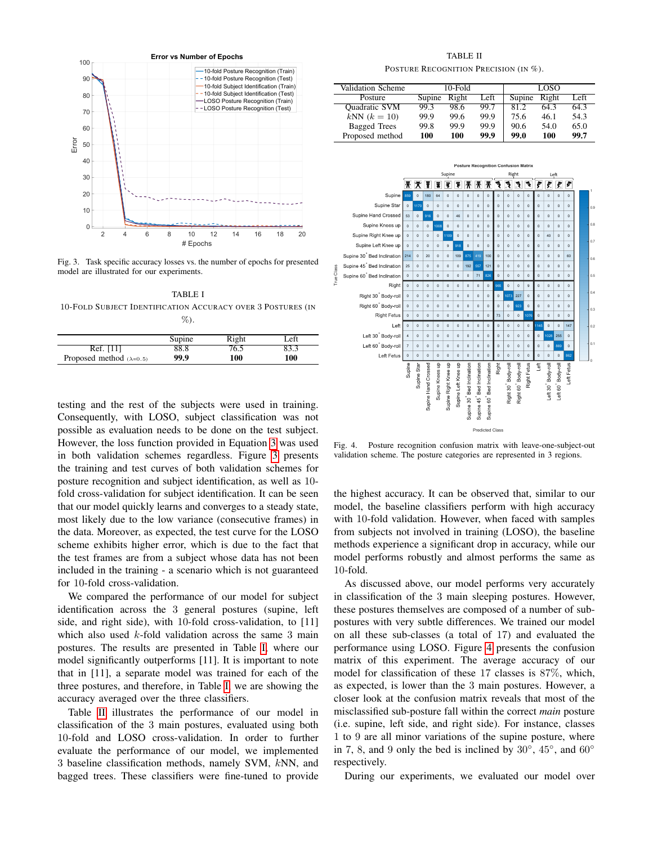

<span id="page-3-0"></span>Fig. 3. Task specific accuracy losses vs. the number of epochs for presented model are illustrated for our experiments.

<span id="page-3-1"></span>TABLE I -FOLD SUBJECT IDENTIFICATION ACCURACY OVER 3 POSTURES (IN %).

|                                 | Supine | Right | Left |
|---------------------------------|--------|-------|------|
| Ref. [11]                       | 88.8   | 76.5  | 83.3 |
| Proposed method $(\lambda=0.5)$ | 99.9   | 100   | 100  |

testing and the rest of the subjects were used in training. Consequently, with LOSO, subject classification was not possible as evaluation needs to be done on the test subject. However, the loss function provided in Equation [3](#page-2-1) was used in both validation schemes regardless. Figure [3](#page-3-0) presents the training and test curves of both validation schemes for posture recognition and subject identification, as well as 10 fold cross-validation for subject identification. It can be seen that our model quickly learns and converges to a steady state, most likely due to the low variance (consecutive frames) in the data. Moreover, as expected, the test curve for the LOSO scheme exhibits higher error, which is due to the fact that the test frames are from a subject whose data has not been included in the training - a scenario which is not guaranteed for 10-fold cross-validation.

We compared the performance of our model for subject identification across the 3 general postures (supine, left side, and right side), with 10-fold cross-validation, to [11] which also used  $k$ -fold validation across the same 3 main postures. The results are presented in Table [I,](#page-3-1) where our model significantly outperforms [11]. It is important to note that in [11], a separate model was trained for each of the three postures, and therefore, in Table [I,](#page-3-1) we are showing the accuracy averaged over the three classifiers.

Table [II](#page-3-2) illustrates the performance of our model in classification of the 3 main postures, evaluated using both -fold and LOSO cross-validation. In order to further evaluate the performance of our model, we implemented baseline classification methods, namely SVM, kNN, and bagged trees. These classifiers were fine-tuned to provide

TABLE II POSTURE RECOGNITION PRECISION (IN %).

<span id="page-3-2"></span>

| Validation Scheme    |        | 10-Fold |      |        | LOSO  |      |
|----------------------|--------|---------|------|--------|-------|------|
| Posture              | Supine | Right   | Left | Supine | Right | Left |
| <b>Quadratic SVM</b> | 99.3   | 98.6    | 99.7 | 81.2   | 64.3  | 643  |
| $kNN (k = 10)$       | 99.9   | 99.6    | 99.9 | 75.6   | 46.1  | 54.3 |
| Bagged Trees         | 99.8   | 99.9    | 99.9 | 90.6   | 54.0  | 65.0 |
| Proposed method      | 100    | 100     | 99.9 | 99.0   | 100   | 99.7 |



<span id="page-3-3"></span>Fig. 4. Posture recognition confusion matrix with leave-one-subject-out validation scheme. The posture categories are represented in 3 regions.

the highest accuracy. It can be observed that, similar to our model, the baseline classifiers perform with high accuracy with 10-fold validation. However, when faced with samples from subjects not involved in training (LOSO), the baseline methods experience a significant drop in accuracy, while our model performs robustly and almost performs the same as -fold.

As discussed above, our model performs very accurately in classification of the 3 main sleeping postures. However, these postures themselves are composed of a number of subpostures with very subtle differences. We trained our model on all these sub-classes (a total of 17) and evaluated the performance using LOSO. Figure [4](#page-3-3) presents the confusion matrix of this experiment. The average accuracy of our model for classification of these 17 classes is 87%, which, as expected, is lower than the 3 main postures. However, a closer look at the confusion matrix reveals that most of the misclassified sub-posture fall within the correct *main* posture (i.e. supine, left side, and right side). For instance, classes to 9 are all minor variations of the supine posture, where in 7, 8, and 9 only the bed is inclined by  $30^\circ$ ,  $45^\circ$ , and  $60^\circ$ respectively.

During our experiments, we evaluated our model over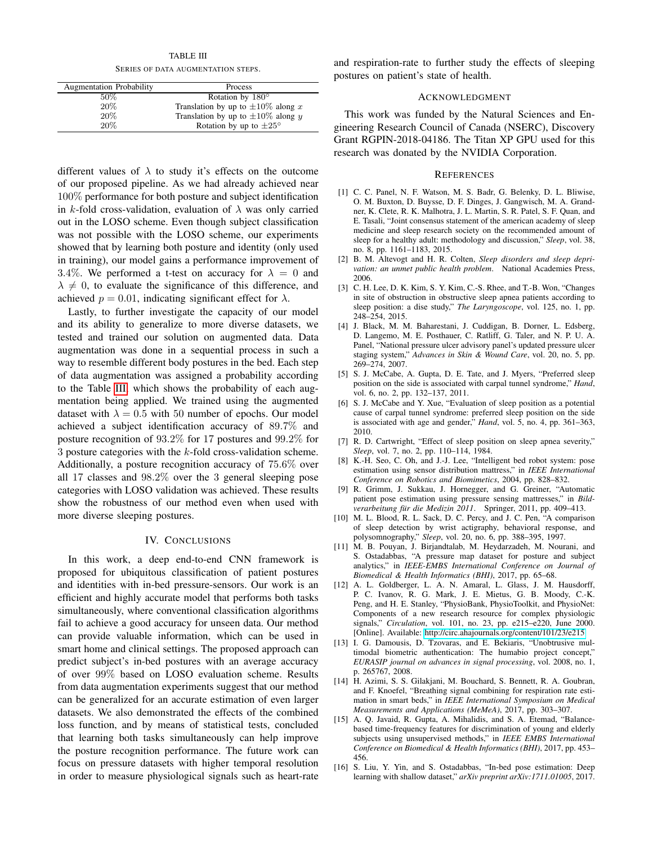TABLE III SERIES OF DATA AUGMENTATION STEPS.

<span id="page-4-0"></span>

| <b>Augmentation Probability</b> | Process                                 |
|---------------------------------|-----------------------------------------|
| $50\%$                          | Rotation by $180^\circ$                 |
| 20%                             | Translation by up to $\pm 10\%$ along x |
| 20%                             | Translation by up to $\pm 10\%$ along y |
| 20%                             | Rotation by up to $\pm 25^{\circ}$      |

different values of  $\lambda$  to study it's effects on the outcome of our proposed pipeline. As we had already achieved near 100% performance for both posture and subject identification in k-fold cross-validation, evaluation of  $\lambda$  was only carried out in the LOSO scheme. Even though subject classification was not possible with the LOSO scheme, our experiments showed that by learning both posture and identity (only used in training), our model gains a performance improvement of 3.4%. We performed a t-test on accuracy for  $\lambda = 0$  and  $\lambda \neq 0$ , to evaluate the significance of this difference, and achieved  $p = 0.01$ , indicating significant effect for  $\lambda$ .

Lastly, to further investigate the capacity of our model and its ability to generalize to more diverse datasets, we tested and trained our solution on augmented data. Data augmentation was done in a sequential process in such a way to resemble different body postures in the bed. Each step of data augmentation was assigned a probability according to the Table [III,](#page-4-0) which shows the probability of each augmentation being applied. We trained using the augmented dataset with  $\lambda = 0.5$  with 50 number of epochs. Our model achieved a subject identification accuracy of 89.7% and posture recognition of 93.2% for 17 postures and 99.2% for 3 posture categories with the k-fold cross-validation scheme. Additionally, a posture recognition accuracy of 75.6% over all 17 classes and 98.2% over the 3 general sleeping pose categories with LOSO validation was achieved. These results show the robustness of our method even when used with more diverse sleeping postures.

# IV. CONCLUSIONS

In this work, a deep end-to-end CNN framework is proposed for ubiquitous classification of patient postures and identities with in-bed pressure-sensors. Our work is an efficient and highly accurate model that performs both tasks simultaneously, where conventional classification algorithms fail to achieve a good accuracy for unseen data. Our method can provide valuable information, which can be used in smart home and clinical settings. The proposed approach can predict subject's in-bed postures with an average accuracy of over 99% based on LOSO evaluation scheme. Results from data augmentation experiments suggest that our method can be generalized for an accurate estimation of even larger datasets. We also demonstrated the effects of the combined loss function, and by means of statistical tests, concluded that learning both tasks simultaneously can help improve the posture recognition performance. The future work can focus on pressure datasets with higher temporal resolution in order to measure physiological signals such as heart-rate

and respiration-rate to further study the effects of sleeping postures on patient's state of health.

#### ACKNOWLEDGMENT

This work was funded by the Natural Sciences and Engineering Research Council of Canada (NSERC), Discovery Grant RGPIN-2018-04186. The Titan XP GPU used for this research was donated by the NVIDIA Corporation.

# **REFERENCES**

- [1] C. C. Panel, N. F. Watson, M. S. Badr, G. Belenky, D. L. Bliwise, O. M. Buxton, D. Buysse, D. F. Dinges, J. Gangwisch, M. A. Grandner, K. Clete, R. K. Malhotra, J. L. Martin, S. R. Patel, S. F. Quan, and E. Tasali, "Joint consensus statement of the american academy of sleep medicine and sleep research society on the recommended amount of sleep for a healthy adult: methodology and discussion," *Sleep*, vol. 38, no. 8, pp. 1161–1183, 2015.
- [2] B. M. Altevogt and H. R. Colten, *Sleep disorders and sleep deprivation: an unmet public health problem*. National Academies Press, 2006.
- [3] C. H. Lee, D. K. Kim, S. Y. Kim, C.-S. Rhee, and T.-B. Won, "Changes in site of obstruction in obstructive sleep apnea patients according to sleep position: a dise study," *The Laryngoscope*, vol. 125, no. 1, pp. 248–254, 2015.
- [4] J. Black, M. M. Baharestani, J. Cuddigan, B. Dorner, L. Edsberg, D. Langemo, M. E. Posthauer, C. Ratliff, G. Taler, and N. P. U. A. Panel, "National pressure ulcer advisory panel's updated pressure ulcer staging system," *Advances in Skin & Wound Care*, vol. 20, no. 5, pp. 269–274, 2007.
- [5] S. J. McCabe, A. Gupta, D. E. Tate, and J. Myers, "Preferred sleep position on the side is associated with carpal tunnel syndrome," *Hand*, vol. 6, no. 2, pp. 132–137, 2011.
- [6] S. J. McCabe and Y. Xue, "Evaluation of sleep position as a potential cause of carpal tunnel syndrome: preferred sleep position on the side is associated with age and gender," *Hand*, vol. 5, no. 4, pp. 361–363, 2010.
- [7] R. D. Cartwright, "Effect of sleep position on sleep apnea severity," *Sleep*, vol. 7, no. 2, pp. 110–114, 1984.
- [8] K.-H. Seo, C. Oh, and J.-J. Lee, "Intelligent bed robot system: pose estimation using sensor distribution mattress," in *IEEE International Conference on Robotics and Biomimetics*, 2004, pp. 828–832.
- [9] R. Grimm, J. Sukkau, J. Hornegger, and G. Greiner, "Automatic patient pose estimation using pressure sensing mattresses," in *Bildverarbeitung fur die Medizin 2011 ¨* . Springer, 2011, pp. 409–413.
- [10] M. L. Blood, R. L. Sack, D. C. Percy, and J. C. Pen, "A comparison of sleep detection by wrist actigraphy, behavioral response, and polysomnography," *Sleep*, vol. 20, no. 6, pp. 388–395, 1997.
- [11] M. B. Pouyan, J. Birjandtalab, M. Heydarzadeh, M. Nourani, and S. Ostadabbas, "A pressure map dataset for posture and subject analytics," in *IEEE-EMBS International Conference on Journal of Biomedical & Health Informatics (BHI)*, 2017, pp. 65–68.
- [12] A. L. Goldberger, L. A. N. Amaral, L. Glass, J. M. Hausdorff, P. C. Ivanov, R. G. Mark, J. E. Mietus, G. B. Moody, C.-K. Peng, and H. E. Stanley, "PhysioBank, PhysioToolkit, and PhysioNet: Components of a new research resource for complex physiologic signals," *Circulation*, vol. 101, no. 23, pp. e215–e220, June 2000. [Online]. Available:<http://circ.ahajournals.org/content/101/23/e215>
- [13] I. G. Damousis, D. Tzovaras, and E. Bekiaris, "Unobtrusive multimodal biometric authentication: The humabio project concept,' *EURASIP journal on advances in signal processing*, vol. 2008, no. 1, p. 265767, 2008.
- [14] H. Azimi, S. S. Gilakjani, M. Bouchard, S. Bennett, R. A. Goubran, and F. Knoefel, "Breathing signal combining for respiration rate estimation in smart beds," in *IEEE International Symposium on Medical Measurements and Applications (MeMeA)*, 2017, pp. 303–307.
- [15] A. Q. Javaid, R. Gupta, A. Mihalidis, and S. A. Etemad, "Balancebased time-frequency features for discrimination of young and elderly subjects using unsupervised methods," in *IEEE EMBS International Conference on Biomedical & Health Informatics (BHI)*, 2017, pp. 453– 456.
- [16] S. Liu, Y. Yin, and S. Ostadabbas, "In-bed pose estimation: Deep learning with shallow dataset," *arXiv preprint arXiv:1711.01005*, 2017.